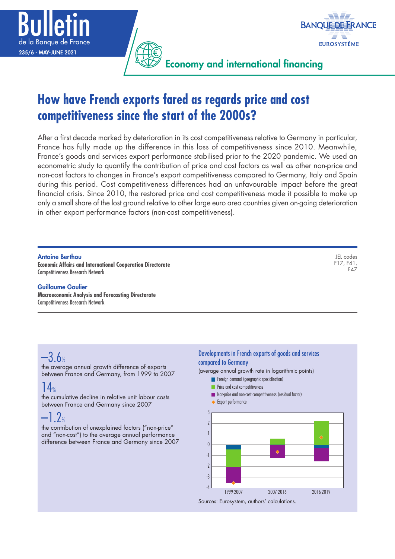



Economy and international financing

# **How have French exports fared as regards price and cost competitiveness since the start of the 2000s?**

After a first decade marked by deterioration in its cost competitiveness relative to Germany in particular, France has fully made up the difference in this loss of competitiveness since 2010. Meanwhile, France's goods and services export performance stabilised prior to the 2020 pandemic. We used an econometric study to quantify the contribution of price and cost factors as well as other non-price and non-cost factors to changes in France's export competitiveness compared to Germany, Italy and Spain during this period. Cost competitiveness differences had an unfavourable impact before the great financial crisis. Since 2010, the restored price and cost competitiveness made it possible to make up only a small share of the lost ground relative to other large euro area countries given on-going deterioration in other export performance factors (non-cost competitiveness).

#### Antoine Berthou

**Economic Affairs and International Cooperation Directorate** Competitiveness Research Network

#### Guillaume Gaulier

**Macroeconomic Analysis and Forecasting Directorate** Competitiveness Research Network

JEL codes F17, F41, F47

# –3.6%

the average annual growth difference of exports between France and Germany, from 1999 to 2007

# $14%$

the cumulative decline in relative unit labour costs between France and Germany since 2007

# $-1.2%$

the contribution of unexplained factors ("non-price" and "non-cost") to the average annual performance difference between France and Germany since 2007

### Developments in French exports of goods and services compared to Germany

(average annual growth rate in logarithmic points)

- **Foreign demand (geographic specialisation)**
- **Price and cost competitiveness**
- **Non-price and non-cost competitiveness (residual factor)**
- **Export performance**

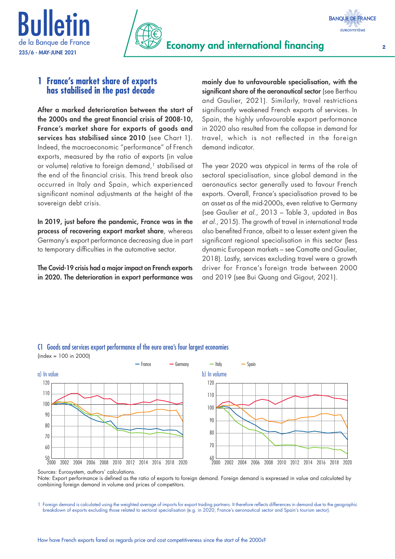





### **1 France's market share of exports has stabilised in the past decade**

After a marked deterioration between the start of the 2000s and the great financial crisis of 2008‑10, France's market share for exports of goods and services has stabilised since 2010 (see Chart 1). Indeed, the macroeconomic "performance" of French exports, measured by the ratio of exports (in value or volume) relative to foreign demand,<sup>1</sup> stabilised at the end of the financial crisis. This trend break also occurred in Italy and Spain, which experienced significant nominal adjustments at the height of the sovereign debt crisis.

In 2019, just before the pandemic, France was in the process of recovering export market share, whereas Germany's export performance decreasing due in part to temporary difficulties in the automotive sector.

The Covid-19 crisis had a major impact on French exports in 2020. The deterioration in export performance was

mainly due to unfavourable specialisation, with the significant share of the aeronautical sector (see Berthou and Gaulier, 2021). Similarly, travel restrictions significantly weakened French exports of services. In Spain, the highly unfavourable export performance in 2020 also resulted from the collapse in demand for travel, which is not reflected in the foreign demand indicator.

The year 2020 was atypical in terms of the role of sectoral specialisation, since global demand in the aeronautics sector generally used to favour French exports. Overall, France's specialisation proved to be an asset as of the mid-2000s, even relative to Germany (see Gaulier *et al.*, 2013 – Table 3, updated in Bas *et al.*, 2015). The growth of travel in international trade also benefited France, albeit to a lesser extent given the significant regional specialisation in this sector (less dynamic European markets – see Camatte and Gaulier, 2018). Lastly, services excluding travel were a growth driver for France's foreign trade between 2000 and 2019 (see Bui Quang and Gigout, 2021).



#### C1 Goods and services export performance of the euro area's four largest economies (index = 100 in 2000)

Sources: Eurosystem, authors' calculations.

Note: Export performance is defined as the ratio of exports to foreign demand. Foreign demand is expressed in value and calculated by combining foreign demand in volume and prices of competitors.

1 Foreign demand is calculated using the weighted average of imports for export trading partners. It therefore reflects differences in demand due to the geographic breakdown of exports excluding those related to sectoral specialisation (e.g. in 2020, France's aeronautical sector and Spain's tourism sector).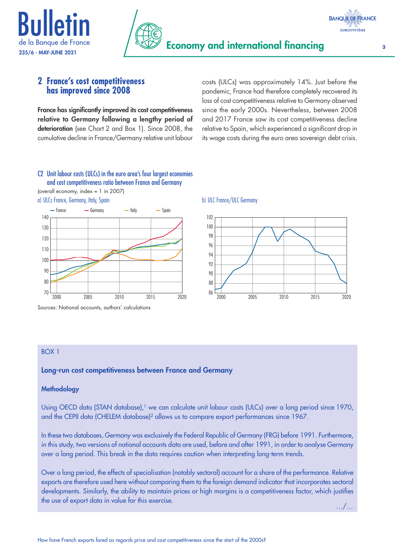



### **2 France's cost competitiveness has improved since 2008**

France has significantly improved its cost competitiveness relative to Germany following a lengthy period of deterioration (see Chart 2 and Box 1). Since 2008, the cumulative decline in France/Germany relative unit labour costs (ULCs) was approximately 14%. Just before the pandemic, France had therefore completely recovered its loss of cost competitiveness relative to Germany observed since the early 2000s. Nevertheless, between 2008 and 2017 France saw its cost competitiveness decline relative to Spain, which experienced a significant drop in its wage costs during the euro area sovereign debt crisis.

### C2 Unit labour costs (ULCs) in the euro area's four largest economies and cost competitiveness ratio between France and Germany

(overall economy, index = 1 in 2007)

a) ULCs France, Germany, Italy, Spain b) ULC France/ULC Germany



Sources: National accounts, authors' calculations



### BOX 1

### Long-run cost competitiveness between France and Germany

### **Methodology**

Using OECD data (STAN database),<sup>1</sup> we can calculate unit labour costs (ULCs) over a long period since 1970, and the CEPII data (CHELEM database)<sup>2</sup> allows us to compare export performances since 1967.

In these two databases, Germany was exclusively the Federal Republic of Germany (FRG) before 1991. Furthermore, in this study, two versions of national accounts data are used, before and after 1991, in order to analyse Germany over a long period. This break in the data requires caution when interpreting long-term trends.

Over a long period, the effects of specialisation (notably sectoral) account for a share of the performance. Relative exports are therefore used here without comparing them to the foreign demand indicator that incorporates sectoral developments. Similarly, the ability to maintain prices or high margins is a competitiveness factor, which justifies the use of export data in value for this exercise. …/…

**BANQUE DE FRANCE EUROSYSTÈME**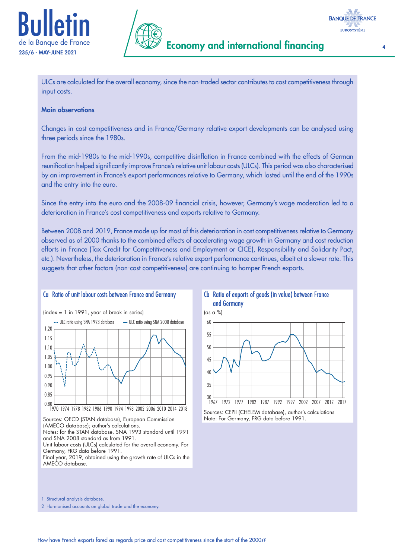



ULCs are calculated for the overall economy, since the non-traded sector contributes to cost competitiveness through input costs.

#### Main observations

Changes in cost competitiveness and in France/Germany relative export developments can be analysed using three periods since the 1980s.

From the mid-1980s to the mid-1990s, competitive disinflation in France combined with the effects of German reunification helped significantly improve France's relative unit labour costs (ULCs). This period was also characterised by an improvement in France's export performances relative to Germany, which lasted until the end of the 1990s and the entry into the euro.

Since the entry into the euro and the 2008-09 financial crisis, however, Germany's wage moderation led to a deterioration in France's cost competitiveness and exports relative to Germany.

Between 2008 and 2019, France made up for most of this deterioration in cost competitiveness relative to Germany observed as of 2000 thanks to the combined effects of accelerating wage growth in Germany and cost reduction efforts in France (Tax Credit for Competitiveness and Employment or CICE), Responsibility and Solidarity Pact, etc.). Nevertheless, the deterioration in France's relative export performance continues, albeit at a slower rate. This suggests that other factors (non-cost competitiveness) are continuing to hamper French exports.

### Ca Ratio of unit labour costs between France and Germany





Sources: OECD (STAN database), European Commission (AMECO database); author's calculations.

Notes: for the STAN database, SNA 1993 standard until 1991 and SNA 2008 standard as from 1991.

Unit labour costs (ULCs) calculated for the overall economy. For Germany, FRG data before 1991.

Final year, 2019, obtained using the growth rate of ULCs in the AMECO database.





Sources: CEPII (CHELEM database), author's calculations Note: For Germany, FRG data before 1991.

1 Structural analysis database.

2 Harmonised accounts on global trade and the economy.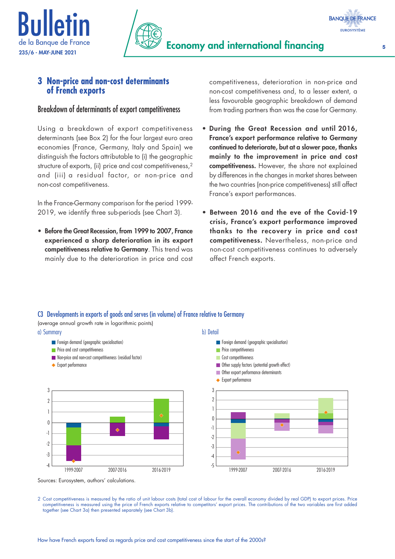



## **3 Non-price and non-cost determinants of French exports**

### Breakdown of determinants of export competitiveness

Using a breakdown of export competitiveness determinants (see Box 2) for the four largest euro area economies (France, Germany, Italy and Spain) we distinguish the factors attributable to (i) the geographic structure of exports, (ii) price and cost competitiveness,<sup>2</sup> and (iii) a residual factor, or non-price and non-cost competitiveness.

In the France-Germany comparison for the period 1999- 2019, we identify three sub-periods (see Chart 3).

• Before the Great Recession, from 1999 to 2007, France experienced a sharp deterioration in its export competitiveness relative to Germany. This trend was mainly due to the deterioration in price and cost competitiveness, deterioration in non-price and non-cost competitiveness and, to a lesser extent, a less favourable geographic breakdown of demand from trading partners than was the case for Germany.

- During the Great Recession and until 2016, France's export performance relative to Germany continued to deteriorate, but at a slower pace, thanks mainly to the improvement in price and cost competitiveness. However, the share not explained by differences in the changes in market shares between the two countries (non-price competitiveness) still affect France's export performances.
- Between 2016 and the eve of the Covid-19 crisis, France's export performance improved thanks to the recovery in price and cost competitiveness. Nevertheless, non-price and non-cost competitiveness continues to adversely affect French exports.

### C3 Developments in exports of goods and serves (in volume) of France relative to Germany

(average annual growth rate in logarithmic points)



Sources: Eurosystem, authors' calculations.

2 Cost competitiveness is measured by the ratio of unit labour costs (total cost of labour for the overall economy divided by real GDP) to export prices. Price competitiveness is measured using the price of French exports relative to competitors' export prices. The contributions of the two variables are first added together (see Chart 3a) then presented separately (see Chart 3b).

**BANQUE DE FRANCE EUROSYSTÈME**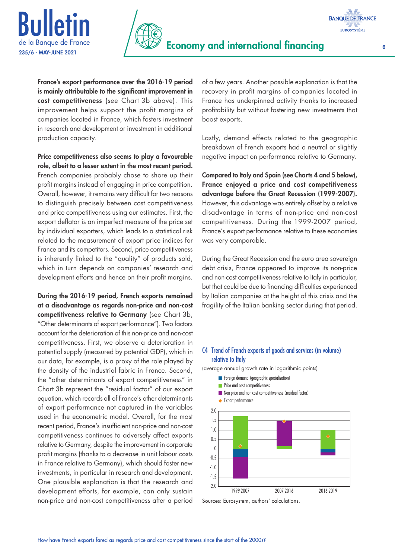



**BANQUE DE FRANCE EUROSYSTÈME** 

France's export performance over the 2016-19 period is mainly attributable to the significant improvement in cost competitiveness (see Chart 3b above). This improvement helps support the profit margins of companies located in France, which fosters investment in research and development or investment in additional production capacity.

Price competitiveness also seems to play a favourable role, albeit to a lesser extent in the most recent period. French companies probably chose to shore up their profit margins instead of engaging in price competition. Overall, however, it remains very difficult for two reasons to distinguish precisely between cost competitiveness and price competitiveness using our estimates. First, the export deflator is an imperfect measure of the price set by individual exporters, which leads to a statistical risk related to the measurement of export price indices for France and its competitors. Second, price competitiveness is inherently linked to the "quality" of products sold, which in turn depends on companies' research and development efforts and hence on their profit margins.

During the 2016‑19 period, French exports remained at a disadvantage as regards non-price and non-cost competitiveness relative to Germany (see Chart 3b, "Other determinants of export performance"). Two factors account for the deterioration of this non-price and non-cost competitiveness. First, we observe a deterioration in potential supply (measured by potential GDP), which in our data, for example, is a proxy of the role played by the density of the industrial fabric in France. Second, the "other determinants of export competitiveness" in Chart 3b represent the "residual factor" of our export equation, which records all of France's other determinants of export performance not captured in the variables used in the econometric model. Overall, for the most recent period, France's insufficient non-price and non-cost competitiveness continues to adversely affect exports relative to Germany, despite the improvement in corporate profit margins (thanks to a decrease in unit labour costs in France relative to Germany), which should foster new investments, in particular in research and development. One plausible explanation is that the research and development efforts, for example, can only sustain non-price and non-cost competitiveness after a period

of a few years. Another possible explanation is that the recovery in profit margins of companies located in France has underpinned activity thanks to increased profitability but without fostering new investments that boost exports.

Lastly, demand effects related to the geographic breakdown of French exports had a neutral or slightly negative impact on performance relative to Germany.

Compared to Italy and Spain (see Charts 4 and 5 below), France enjoyed a price and cost competitiveness advantage before the Great Recession (1999-2007). However, this advantage was entirely offset by a relative disadvantage in terms of non-price and non-cost competitiveness. During the 1999-2007 period, France's export performance relative to these economies was very comparable.

During the Great Recession and the euro area sovereign debt crisis, France appeared to improve its non-price and non-cost competitiveness relative to Italy in particular, but that could be due to financing difficulties experienced by Italian companies at the height of this crisis and the fragility of the Italian banking sector during that period.

### C4 Trend of French exports of goods and services (in volume) relative to Italy



(average annual growth rate in logarithmic points)

Sources: Eurosystem, authors' calculations.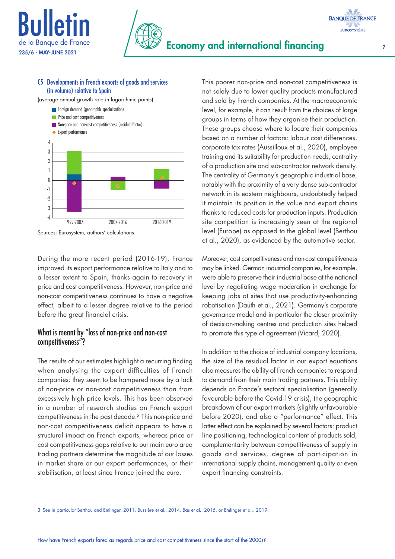



### C5 Developments in French exports of goods and services (in volume) relative to Spain

(average annual growth rate in logarithmic points)

- **Foreign demand (geographic specialisation)**
- **Price and cost competitiveness**
- **Non-price and non-cost competitiveness (residual factor)**



Sources: Eurosystem, authors' calculations.

During the more recent period (2016-19), France improved its export performance relative to Italy and to a lesser extent to Spain, thanks again to recovery in price and cost competitiveness. However, non-price and non-cost competitiveness continues to have a negative effect, albeit to a lesser degree relative to the period before the great financial crisis.

### What is meant by "loss of non-price and non-cost competitiveness"?

The results of our estimates highlight a recurring finding when analysing the export difficulties of French companies: they seem to be hampered more by a lack of non-price or non-cost competitiveness than from excessively high price levels. This has been observed in a number of research studies on French export competitiveness in the past decade.3 This non-price and non-cost competitiveness deficit appears to have a structural impact on French exports, whereas price or cost competitiveness gaps relative to our main euro area trading partners determine the magnitude of our losses in market share or our export performances, or their stabilisation, at least since France joined the euro.

This poorer non-price and non-cost competitiveness is not solely due to lower quality products manufactured and sold by French companies. At the macroeconomic level, for example, it can result from the choices of large groups in terms of how they organise their production. These groups choose where to locate their companies based on a number of factors: labour cost differences, corporate tax rates (Aussilloux et al., 2020), employee training and its suitability for production needs, centrality of a production site and sub-contractor network density. The centrality of Germany's geographic industrial base, notably with the proximity of a very dense sub-contractor network in its eastern neighbours, undoubtedly helped it maintain its position in the value and export chains thanks to reduced costs for production inputs. Production site competition is increasingly seen at the regional level (Europe) as opposed to the global level (Berthou et al., 2020), as evidenced by the automotive sector.

Moreover, cost competitiveness and non-cost competitiveness may be linked. German industrial companies, for example, were able to preserve their industrial base at the national level by negotiating wage moderation in exchange for keeping jobs at sites that use productivity-enhancing robotisation (Dauth et al., 2021). Germany's corporate governance model and in particular the closer proximity of decision-making centres and production sites helped to promote this type of agreement (Vicard, 2020).

In addition to the choice of industrial company locations, the size of the residual factor in our export equations also measures the ability of French companies to respond to demand from their main trading partners. This ability depends on France's sectoral specialisation (generally favourable before the Covid-19 crisis), the geographic breakdown of our export markets (slightly unfavourable before 2020), and also a "performance" effect. This latter effect can be explained by several factors: product line positioning, technological content of products sold, complementarity between competitiveness of supply in goods and services, degree of participation in international supply chains, management quality or even export financing constraints.

3 See in particular Berthou and Emlinger, 2011, Bussière et al., 2014, Bas et al., 2015, or Emlinger et al., 2019.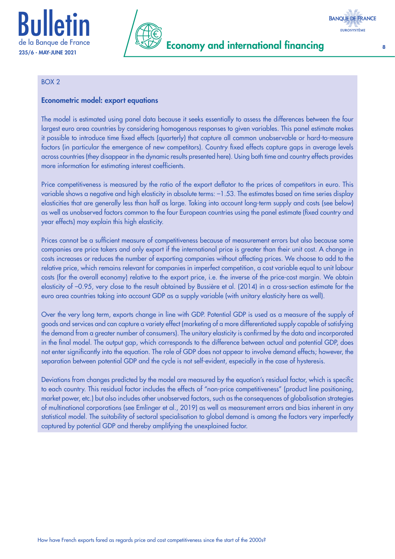



# Economy and international financing 8

### BOX 2

### Econometric model: export equations

The model is estimated using panel data because it seeks essentially to assess the differences between the four largest euro area countries by considering homogenous responses to given variables. This panel estimate makes it possible to introduce time fixed effects (quarterly) that capture all common unobservable or hard-to-measure factors (in particular the emergence of new competitors). Country fixed effects capture gaps in average levels across countries (they disappear in the dynamic results presented here). Using both time and country effects provides more information for estimating interest coefficients.

Price competitiveness is measured by the ratio of the export deflator to the prices of competitors in euro. This variable shows a negative and high elasticity in absolute terms: –1.53. The estimates based on time series display elasticities that are generally less than half as large. Taking into account long-term supply and costs (see below) as well as unobserved factors common to the four European countries using the panel estimate (fixed country and year effects) may explain this high elasticity.

Prices cannot be a sufficient measure of competitiveness because of measurement errors but also because some companies are price takers and only export if the international price is greater than their unit cost. A change in costs increases or reduces the number of exporting companies without affecting prices. We choose to add to the relative price, which remains relevant for companies in imperfect competition, a cost variable equal to unit labour costs (for the overall economy) relative to the export price, i.e. the inverse of the price-cost margin. We obtain elasticity of –0.95, very close to the result obtained by Bussière et al. (2014) in a cross-section estimate for the euro area countries taking into account GDP as a supply variable (with unitary elasticity here as well).

Over the very long term, exports change in line with GDP. Potential GDP is used as a measure of the supply of goods and services and can capture a variety effect (marketing of a more differentiated supply capable of satisfying the demand from a greater number of consumers). The unitary elasticity is confirmed by the data and incorporated in the final model. The output gap, which corresponds to the difference between actual and potential GDP, does not enter significantly into the equation. The role of GDP does not appear to involve demand effects; however, the separation between potential GDP and the cycle is not self-evident, especially in the case of hysteresis.

Deviations from changes predicted by the model are measured by the equation's residual factor, which is specific to each country. This residual factor includes the effects of "non-price competitiveness" (product line positioning, market power, etc.) but also includes other unobserved factors, such as the consequences of globalisation strategies of multinational corporations (see Emlinger et al., 2019) as well as measurement errors and bias inherent in any statistical model. The suitability of sectoral specialisation to global demand is among the factors very imperfectly captured by potential GDP and thereby amplifying the unexplained factor.

**BANQUE DE FRANCE EUROSYSTÈME**